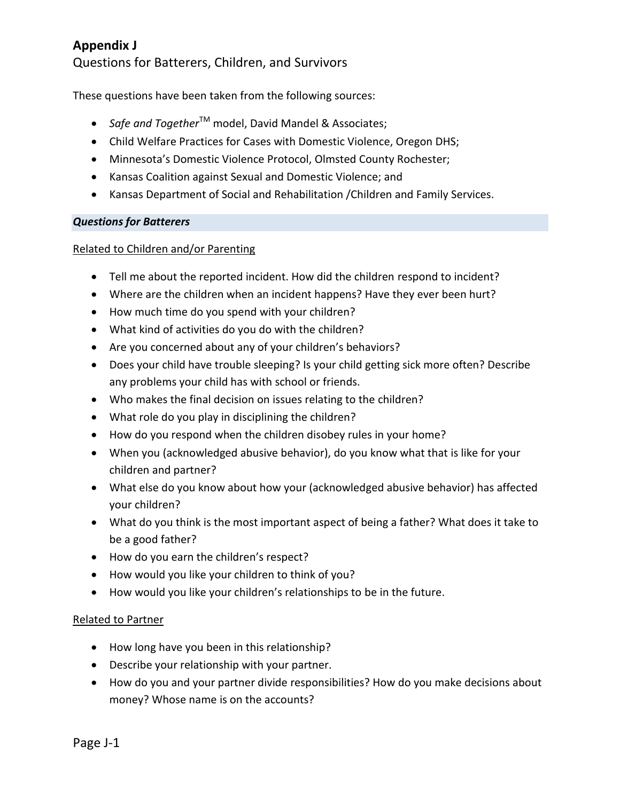Questions for Batterers, Children, and Survivors

These questions have been taken from the following sources:

- *Safe and Together*<sup>™</sup> model, David Mandel & Associates;
- Child Welfare Practices for Cases with Domestic Violence, Oregon DHS;
- Minnesota's Domestic Violence Protocol, Olmsted County Rochester;
- Kansas Coalition against Sexual and Domestic Violence; and
- Kansas Department of Social and Rehabilitation /Children and Family Services.

#### *Questions for Batterers*

#### Related to Children and/or Parenting

- Tell me about the reported incident. How did the children respond to incident?
- Where are the children when an incident happens? Have they ever been hurt?
- How much time do you spend with your children?
- What kind of activities do you do with the children?
- Are you concerned about any of your children's behaviors?
- Does your child have trouble sleeping? Is your child getting sick more often? Describe any problems your child has with school or friends.
- Who makes the final decision on issues relating to the children?
- What role do you play in disciplining the children?
- How do you respond when the children disobey rules in your home?
- When you (acknowledged abusive behavior), do you know what that is like for your children and partner?
- What else do you know about how your (acknowledged abusive behavior) has affected your children?
- What do you think is the most important aspect of being a father? What does it take to be a good father?
- How do you earn the children's respect?
- How would you like your children to think of you?
- How would you like your children's relationships to be in the future.

#### Related to Partner

- How long have you been in this relationship?
- Describe your relationship with your partner.
- How do you and your partner divide responsibilities? How do you make decisions about money? Whose name is on the accounts?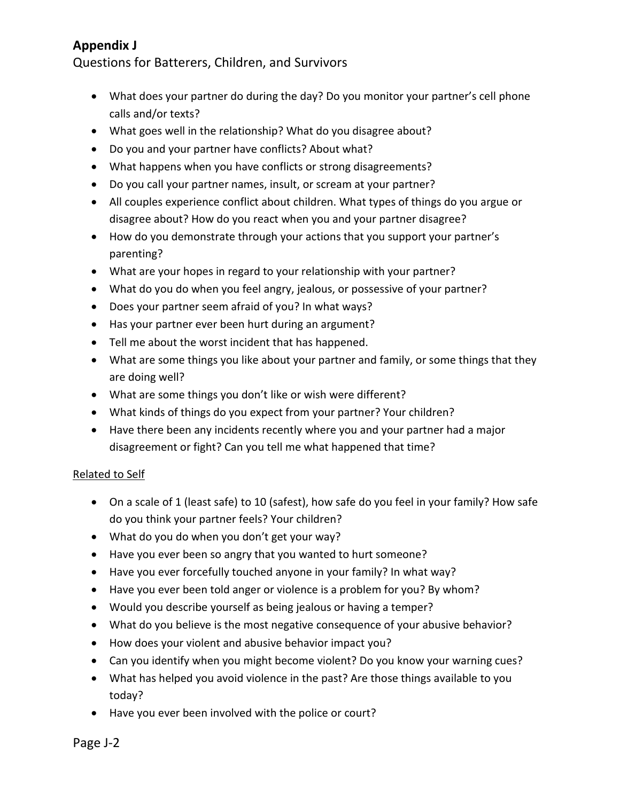Questions for Batterers, Children, and Survivors

- What does your partner do during the day? Do you monitor your partner's cell phone calls and/or texts?
- What goes well in the relationship? What do you disagree about?
- Do you and your partner have conflicts? About what?
- What happens when you have conflicts or strong disagreements?
- Do you call your partner names, insult, or scream at your partner?
- All couples experience conflict about children. What types of things do you argue or disagree about? How do you react when you and your partner disagree?
- How do you demonstrate through your actions that you support your partner's parenting?
- What are your hopes in regard to your relationship with your partner?
- What do you do when you feel angry, jealous, or possessive of your partner?
- Does your partner seem afraid of you? In what ways?
- Has your partner ever been hurt during an argument?
- Tell me about the worst incident that has happened.
- What are some things you like about your partner and family, or some things that they are doing well?
- What are some things you don't like or wish were different?
- What kinds of things do you expect from your partner? Your children?
- Have there been any incidents recently where you and your partner had a major disagreement or fight? Can you tell me what happened that time?

### Related to Self

- On a scale of 1 (least safe) to 10 (safest), how safe do you feel in your family? How safe do you think your partner feels? Your children?
- What do you do when you don't get your way?
- Have you ever been so angry that you wanted to hurt someone?
- Have you ever forcefully touched anyone in your family? In what way?
- Have you ever been told anger or violence is a problem for you? By whom?
- Would you describe yourself as being jealous or having a temper?
- What do you believe is the most negative consequence of your abusive behavior?
- How does your violent and abusive behavior impact you?
- Can you identify when you might become violent? Do you know your warning cues?
- What has helped you avoid violence in the past? Are those things available to you today?
- Have you ever been involved with the police or court?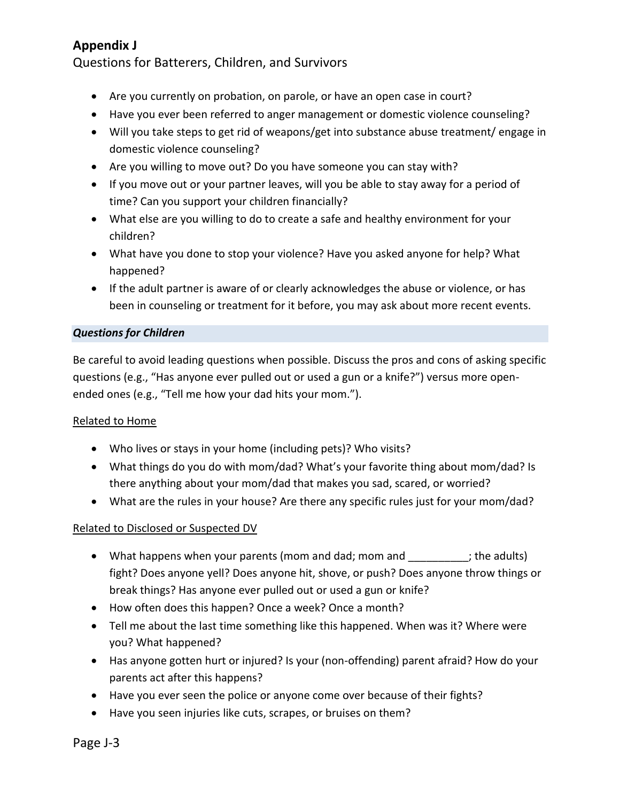Questions for Batterers, Children, and Survivors

- Are you currently on probation, on parole, or have an open case in court?
- Have you ever been referred to anger management or domestic violence counseling?
- Will you take steps to get rid of weapons/get into substance abuse treatment/ engage in domestic violence counseling?
- Are you willing to move out? Do you have someone you can stay with?
- If you move out or your partner leaves, will you be able to stay away for a period of time? Can you support your children financially?
- What else are you willing to do to create a safe and healthy environment for your children?
- What have you done to stop your violence? Have you asked anyone for help? What happened?
- If the adult partner is aware of or clearly acknowledges the abuse or violence, or has been in counseling or treatment for it before, you may ask about more recent events.

### *Questions for Children*

Be careful to avoid leading questions when possible. Discuss the pros and cons of asking specific questions (e.g., "Has anyone ever pulled out or used a gun or a knife?") versus more openended ones (e.g., "Tell me how your dad hits your mom.").

### Related to Home

- Who lives or stays in your home (including pets)? Who visits?
- What things do you do with mom/dad? What's your favorite thing about mom/dad? Is there anything about your mom/dad that makes you sad, scared, or worried?
- What are the rules in your house? Are there any specific rules just for your mom/dad?

### Related to Disclosed or Suspected DV

- What happens when your parents (mom and dad; mom and example the adults) fight? Does anyone yell? Does anyone hit, shove, or push? Does anyone throw things or break things? Has anyone ever pulled out or used a gun or knife?
- How often does this happen? Once a week? Once a month?
- Tell me about the last time something like this happened. When was it? Where were you? What happened?
- Has anyone gotten hurt or injured? Is your (non-offending) parent afraid? How do your parents act after this happens?
- Have you ever seen the police or anyone come over because of their fights?
- Have you seen injuries like cuts, scrapes, or bruises on them?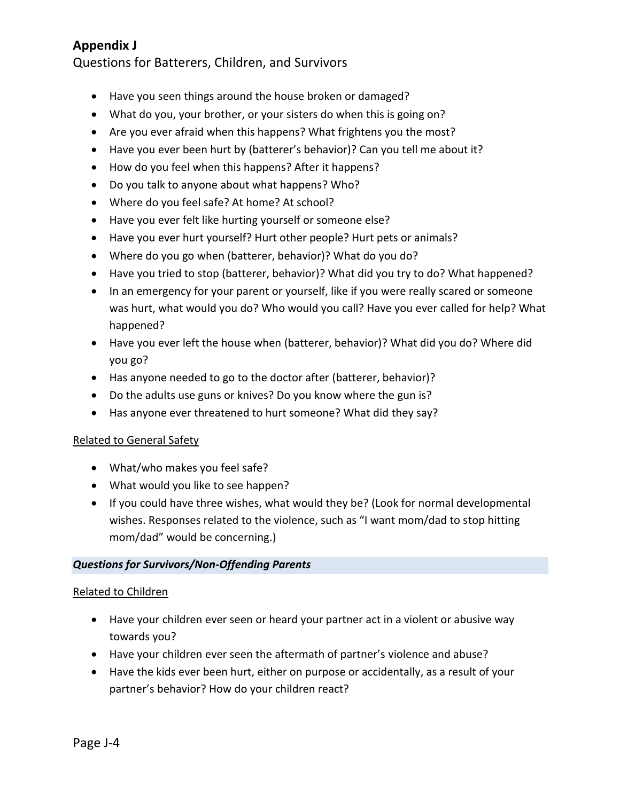Questions for Batterers, Children, and Survivors

- Have you seen things around the house broken or damaged?
- What do you, your brother, or your sisters do when this is going on?
- Are you ever afraid when this happens? What frightens you the most?
- Have you ever been hurt by (batterer's behavior)? Can you tell me about it?
- How do you feel when this happens? After it happens?
- Do you talk to anyone about what happens? Who?
- Where do you feel safe? At home? At school?
- Have you ever felt like hurting yourself or someone else?
- Have you ever hurt yourself? Hurt other people? Hurt pets or animals?
- Where do you go when (batterer, behavior)? What do you do?
- Have you tried to stop (batterer, behavior)? What did you try to do? What happened?
- In an emergency for your parent or yourself, like if you were really scared or someone was hurt, what would you do? Who would you call? Have you ever called for help? What happened?
- Have you ever left the house when (batterer, behavior)? What did you do? Where did you go?
- Has anyone needed to go to the doctor after (batterer, behavior)?
- Do the adults use guns or knives? Do you know where the gun is?
- Has anyone ever threatened to hurt someone? What did they say?

#### Related to General Safety

- What/who makes you feel safe?
- What would you like to see happen?
- If you could have three wishes, what would they be? (Look for normal developmental wishes. Responses related to the violence, such as "I want mom/dad to stop hitting mom/dad" would be concerning.)

### *Questions for Survivors/Non-Offending Parents*

#### Related to Children

- Have your children ever seen or heard your partner act in a violent or abusive way towards you?
- Have your children ever seen the aftermath of partner's violence and abuse?
- Have the kids ever been hurt, either on purpose or accidentally, as a result of your partner's behavior? How do your children react?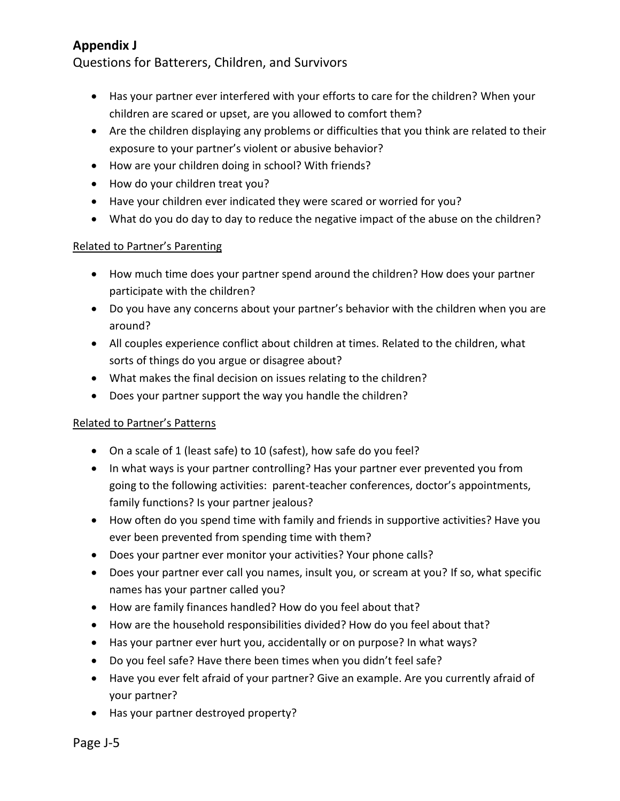Questions for Batterers, Children, and Survivors

- Has your partner ever interfered with your efforts to care for the children? When your children are scared or upset, are you allowed to comfort them?
- Are the children displaying any problems or difficulties that you think are related to their exposure to your partner's violent or abusive behavior?
- How are your children doing in school? With friends?
- How do your children treat you?
- Have your children ever indicated they were scared or worried for you?
- What do you do day to day to reduce the negative impact of the abuse on the children?

### Related to Partner's Parenting

- How much time does your partner spend around the children? How does your partner participate with the children?
- Do you have any concerns about your partner's behavior with the children when you are around?
- All couples experience conflict about children at times. Related to the children, what sorts of things do you argue or disagree about?
- What makes the final decision on issues relating to the children?
- Does your partner support the way you handle the children?

### Related to Partner's Patterns

- On a scale of 1 (least safe) to 10 (safest), how safe do you feel?
- In what ways is your partner controlling? Has your partner ever prevented you from going to the following activities: parent-teacher conferences, doctor's appointments, family functions? Is your partner jealous?
- How often do you spend time with family and friends in supportive activities? Have you ever been prevented from spending time with them?
- Does your partner ever monitor your activities? Your phone calls?
- Does your partner ever call you names, insult you, or scream at you? If so, what specific names has your partner called you?
- How are family finances handled? How do you feel about that?
- How are the household responsibilities divided? How do you feel about that?
- Has your partner ever hurt you, accidentally or on purpose? In what ways?
- Do you feel safe? Have there been times when you didn't feel safe?
- Have you ever felt afraid of your partner? Give an example. Are you currently afraid of your partner?
- Has your partner destroyed property?